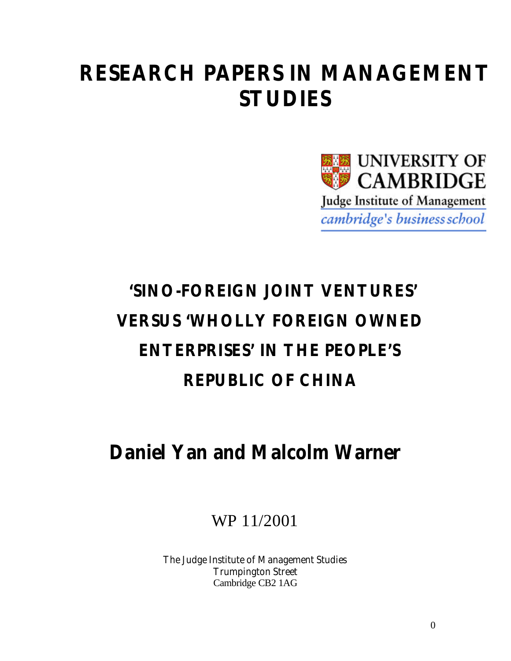## **RESEARCH PAPERS IN MANAGEMENT STUDIES**



# **'SINO-FOREIGN JOINT VENTURES' VERSUS 'WHOLLY FOREIGN OWNED ENTERPRISES' IN THE PEOPLE'S REPUBLIC OF CHINA**

## **Daniel Yan and Malcolm Warner**

WP 11/2001

The Judge Institute of Management Studies Trumpington Street Cambridge CB2 1AG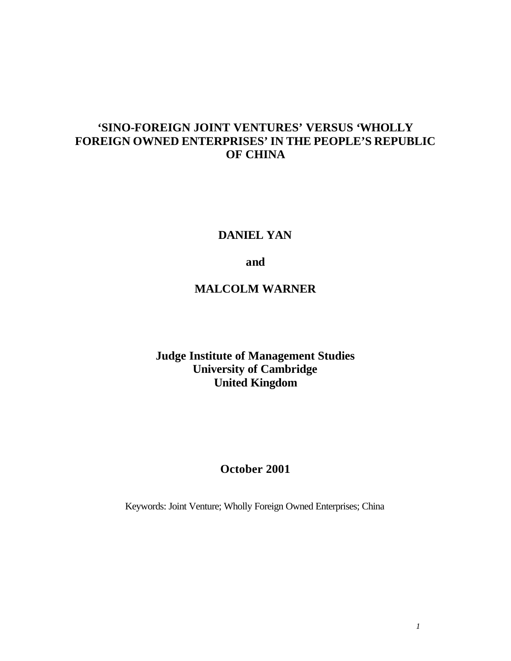## **'SINO-FOREIGN JOINT VENTURES' VERSUS 'WHOLLY FOREIGN OWNED ENTERPRISES' IN THE PEOPLE'S REPUBLIC OF CHINA**

## **DANIEL YAN**

## **and**

## **MALCOLM WARNER**

## **Judge Institute of Management Studies University of Cambridge United Kingdom**

## **October 2001**

Keywords: Joint Venture; Wholly Foreign Owned Enterprises; China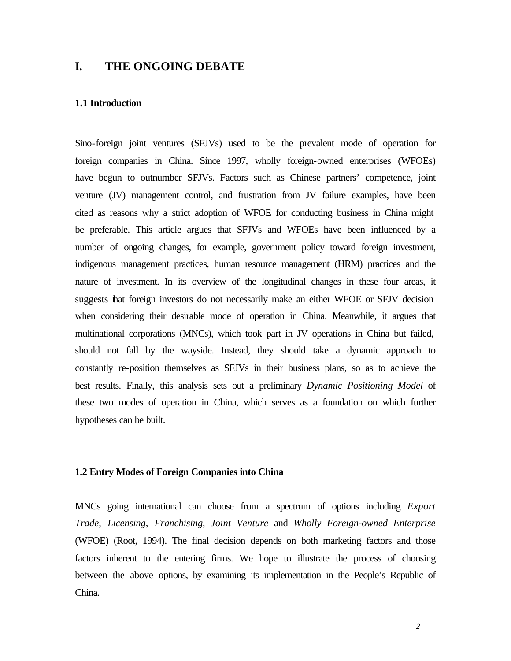## **I. THE ONGOING DEBATE**

#### **1.1 Introduction**

Sino-foreign joint ventures (SFJVs) used to be the prevalent mode of operation for foreign companies in China. Since 1997, wholly foreign-owned enterprises (WFOEs) have begun to outnumber SFJVs. Factors such as Chinese partners' competence, joint venture (JV) management control, and frustration from JV failure examples, have been cited as reasons why a strict adoption of WFOE for conducting business in China might be preferable. This article argues that SFJVs and WFOEs have been influenced by a number of ongoing changes, for example, government policy toward foreign investment, indigenous management practices, human resource management (HRM) practices and the nature of investment. In its overview of the longitudinal changes in these four areas, it suggests that foreign investors do not necessarily make an either WFOE or SFJV decision when considering their desirable mode of operation in China. Meanwhile, it argues that multinational corporations (MNCs), which took part in JV operations in China but failed, should not fall by the wayside. Instead, they should take a dynamic approach to constantly re-position themselves as SFJVs in their business plans, so as to achieve the best results. Finally, this analysis sets out a preliminary *Dynamic Positioning Model* of these two modes of operation in China, which serves as a foundation on which further hypotheses can be built.

#### **1.2 Entry Modes of Foreign Companies into China**

MNCs going international can choose from a spectrum of options including *Export Trade*, *Licensing*, *Franchising*, *Joint Venture* and *Wholly Foreign-owned Enterprise* (WFOE) (Root, 1994). The final decision depends on both marketing factors and those factors inherent to the entering firms. We hope to illustrate the process of choosing between the above options, by examining its implementation in the People's Republic of China.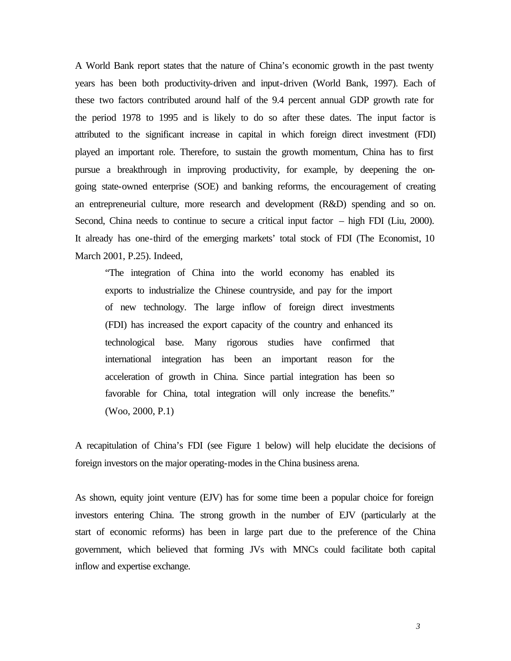A World Bank report states that the nature of China's economic growth in the past twenty years has been both productivity-driven and input-driven (World Bank, 1997). Each of these two factors contributed around half of the 9.4 percent annual GDP growth rate for the period 1978 to 1995 and is likely to do so after these dates. The input factor is attributed to the significant increase in capital in which foreign direct investment (FDI) played an important role. Therefore, to sustain the growth momentum, China has to first pursue a breakthrough in improving productivity, for example, by deepening the ongoing state-owned enterprise (SOE) and banking reforms, the encouragement of creating an entrepreneurial culture, more research and development (R&D) spending and so on. Second, China needs to continue to secure a critical input factor – high FDI (Liu, 2000). It already has one-third of the emerging markets' total stock of FDI (The Economist, 10 March 2001, P.25). Indeed,

"The integration of China into the world economy has enabled its exports to industrialize the Chinese countryside, and pay for the import of new technology. The large inflow of foreign direct investments (FDI) has increased the export capacity of the country and enhanced its technological base. Many rigorous studies have confirmed that international integration has been an important reason for the acceleration of growth in China. Since partial integration has been so favorable for China, total integration will only increase the benefits." (Woo, 2000, P.1)

A recapitulation of China's FDI (see Figure 1 below) will help elucidate the decisions of foreign investors on the major operating-modes in the China business arena.

As shown, equity joint venture (EJV) has for some time been a popular choice for foreign investors entering China. The strong growth in the number of EJV (particularly at the start of economic reforms) has been in large part due to the preference of the China government, which believed that forming JVs with MNCs could facilitate both capital inflow and expertise exchange.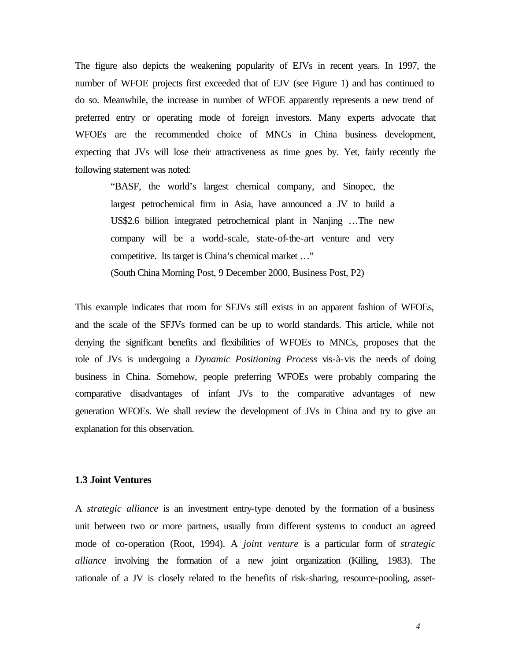The figure also depicts the weakening popularity of EJVs in recent years. In 1997, the number of WFOE projects first exceeded that of EJV (see Figure 1) and has continued to do so. Meanwhile, the increase in number of WFOE apparently represents a new trend of preferred entry or operating mode of foreign investors. Many experts advocate that WFOEs are the recommended choice of MNCs in China business development, expecting that JVs will lose their attractiveness as time goes by. Yet, fairly recently the following statement was noted:

"BASF, the world's largest chemical company, and Sinopec, the largest petrochemical firm in Asia, have announced a JV to build a US\$2.6 billion integrated petrochemical plant in Nanjing …The new company will be a world-scale, state-of-the-art venture and very competitive. Its target is China's chemical market …"

(South China Morning Post, 9 December 2000, Business Post, P2)

This example indicates that room for SFJVs still exists in an apparent fashion of WFOEs, and the scale of the SFJVs formed can be up to world standards. This article, while not denying the significant benefits and flexibilities of WFOEs to MNCs, proposes that the role of JVs is undergoing a *Dynamic Positioning Process* vis-à-vis the needs of doing business in China. Somehow, people preferring WFOEs were probably comparing the comparative disadvantages of infant JVs to the comparative advantages of new generation WFOEs. We shall review the development of JVs in China and try to give an explanation for this observation.

#### **1.3 Joint Ventures**

A *strategic alliance* is an investment entry-type denoted by the formation of a business unit between two or more partners, usually from different systems to conduct an agreed mode of co-operation (Root, 1994). A *joint venture* is a particular form of *strategic alliance* involving the formation of a new joint organization (Killing, 1983). The rationale of a JV is closely related to the benefits of risk-sharing, resource-pooling, asset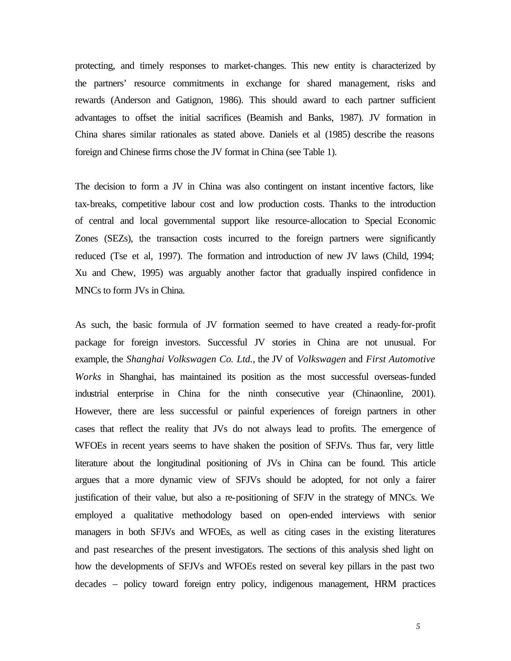protecting, and timely responses to market-changes. This new entity is characterized by the partners' resource commitments in exchange for shared management, risks and rewards (Anderson and Gatignon, 1986). This should award to each partner sufficient advantages to offset the initial sacrifices (Beamish and Banks, 1987). JV formation in China shares similar rationales as stated above. Daniels et al (1985) describe the reasons foreign and Chinese firms chose the JV format in China (see Table 1).

The decision to form a JV in China was also contingent on instant incentive factors, like tax-breaks, competitive labour cost and low production costs. Thanks to the introduction of central and local governmental support like resource-allocation to Special Economic Zones (SEZs), the transaction costs incurred to the foreign partners were significantly reduced (Tse et al, 1997). The formation and introduction of new JV laws (Child, 1994; Xu and Chew, 1995) was arguably another factor that gradually inspired confidence in MNCs to form JVs in China.

As such, the basic formula of JV formation seemed to have created a ready-for-profit package for foreign investors. Successful JV stories in China are not unusual. For example, the *Shanghai Volkswagen Co. Ltd.*, the JV of *Volkswagen* and *First Automotive Works* in Shanghai, has maintained its position as the most successful overseas-funded industrial enterprise in China for the ninth consecutive year (Chinaonline, 2001). However, there are less successful or painful experiences of foreign partners in other cases that reflect the reality that JVs do not always lead to profits. The emergence of WFOEs in recent years seems to have shaken the position of SFJVs. Thus far, very little literature about the longitudinal positioning of JVs in China can be found. This article argues that a more dynamic view of SFJVs should be adopted, for not only a fairer justification of their value, but also a re-positioning of SFJV in the strategy of MNCs. We employed a qualitative methodology based on open-ended interviews with senior managers in both SFJVs and WFOEs, as well as citing cases in the existing literatures and past researches of the present investigators. The sections of this analysis shed light on how the developments of SFJVs and WFOEs rested on several key pillars in the past two decades – policy toward foreign entry policy, indigenous management, HRM practices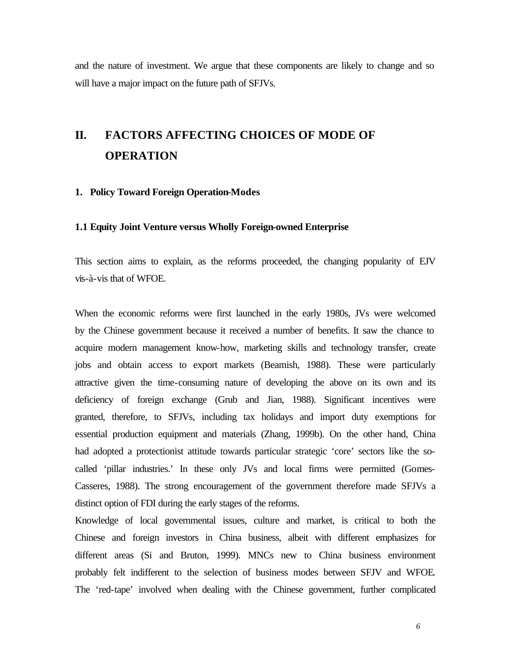and the nature of investment. We argue that these components are likely to change and so will have a major impact on the future path of SFJVs.

## **II. FACTORS AFFECTING CHOICES OF MODE OF OPERATION**

#### **1. Policy Toward Foreign Operation-Modes**

#### **1.1 Equity Joint Venture versus Wholly Foreign-owned Enterprise**

This section aims to explain, as the reforms proceeded, the changing popularity of EJV vis-à-vis that of WFOE.

When the economic reforms were first launched in the early 1980s, JVs were welcomed by the Chinese government because it received a number of benefits. It saw the chance to acquire modern management know-how, marketing skills and technology transfer, create jobs and obtain access to export markets (Beamish, 1988). These were particularly attractive given the time-consuming nature of developing the above on its own and its deficiency of foreign exchange (Grub and Jian, 1988). Significant incentives were granted, therefore, to SFJVs, including tax holidays and import duty exemptions for essential production equipment and materials (Zhang, 1999b). On the other hand, China had adopted a protectionist attitude towards particular strategic 'core' sectors like the socalled 'pillar industries.' In these only JVs and local firms were permitted (Gomes-Casseres, 1988). The strong encouragement of the government therefore made SFJVs a distinct option of FDI during the early stages of the reforms.

Knowledge of local governmental issues, culture and market, is critical to both the Chinese and foreign investors in China business, albeit with different emphasizes for different areas (Si and Bruton, 1999). MNCs new to China business environment probably felt indifferent to the selection of business modes between SFJV and WFOE. The 'red-tape' involved when dealing with the Chinese government, further complicated

*6*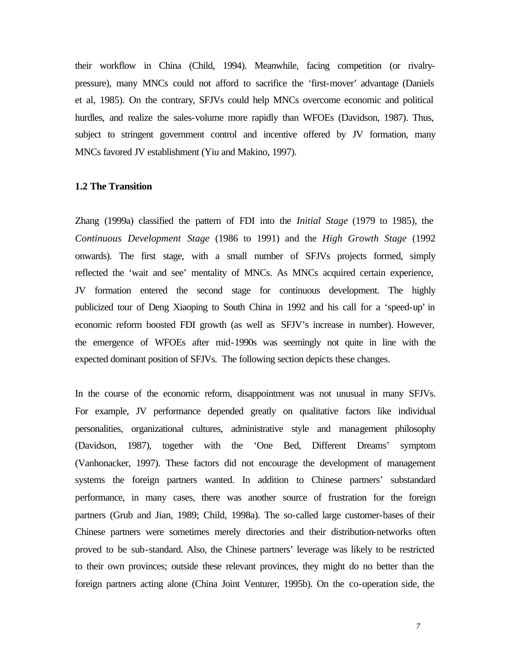their workflow in China (Child, 1994). Meanwhile, facing competition (or rivalrypressure), many MNCs could not afford to sacrifice the 'first-mover' advantage (Daniels et al, 1985). On the contrary, SFJVs could help MNCs overcome economic and political hurdles, and realize the sales-volume more rapidly than WFOEs (Davidson, 1987). Thus, subject to stringent government control and incentive offered by JV formation, many MNCs favored JV establishment (Yiu and Makino, 1997).

#### **1.2 The Transition**

Zhang (1999a) classified the pattern of FDI into the *Initial Stage* (1979 to 1985), the *Continuous Development Stage* (1986 to 1991) and the *High Growth Stage* (1992 onwards). The first stage, with a small number of SFJVs projects formed, simply reflected the 'wait and see' mentality of MNCs. As MNCs acquired certain experience, JV formation entered the second stage for continuous development. The highly publicized tour of Deng Xiaoping to South China in 1992 and his call for a 'speed-up' in economic reform boosted FDI growth (as well as SFJV's increase in number). However, the emergence of WFOEs after mid-1990s was seemingly not quite in line with the expected dominant position of SFJVs. The following section depicts these changes.

In the course of the economic reform, disappointment was not unusual in many SFJVs. For example, JV performance depended greatly on qualitative factors like individual personalities, organizational cultures, administrative style and management philosophy (Davidson, 1987), together with the 'One Bed, Different Dreams' symptom (Vanhonacker, 1997). These factors did not encourage the development of management systems the foreign partners wanted. In addition to Chinese partners' substandard performance, in many cases, there was another source of frustration for the foreign partners (Grub and Jian, 1989; Child, 1998a). The so-called large customer-bases of their Chinese partners were sometimes merely directories and their distribution-networks often proved to be sub-standard. Also, the Chinese partners' leverage was likely to be restricted to their own provinces; outside these relevant provinces, they might do no better than the foreign partners acting alone (China Joint Venturer, 1995b). On the co-operation side, the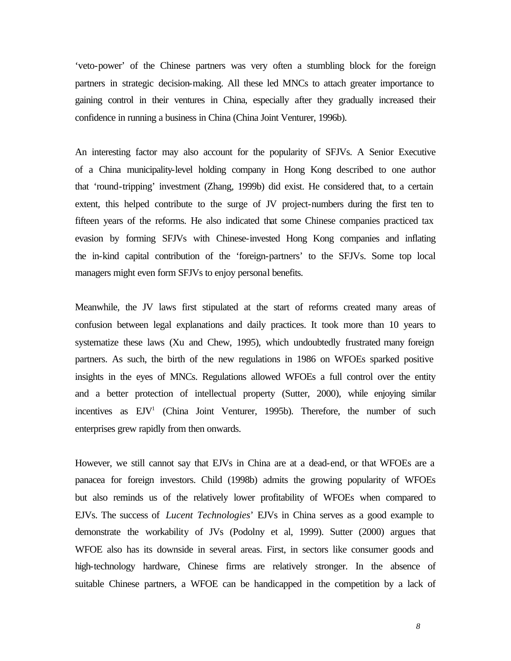'veto-power' of the Chinese partners was very often a stumbling block for the foreign partners in strategic decision-making. All these led MNCs to attach greater importance to gaining control in their ventures in China, especially after they gradually increased their confidence in running a business in China (China Joint Venturer, 1996b).

An interesting factor may also account for the popularity of SFJVs. A Senior Executive of a China municipality-level holding company in Hong Kong described to one author that 'round-tripping' investment (Zhang, 1999b) did exist. He considered that, to a certain extent, this helped contribute to the surge of JV project-numbers during the first ten to fifteen years of the reforms. He also indicated that some Chinese companies practiced tax evasion by forming SFJVs with Chinese-invested Hong Kong companies and inflating the in-kind capital contribution of the 'foreign-partners' to the SFJVs. Some top local managers might even form SFJVs to enjoy personal benefits.

Meanwhile, the JV laws first stipulated at the start of reforms created many areas of confusion between legal explanations and daily practices. It took more than 10 years to systematize these laws (Xu and Chew, 1995), which undoubtedly frustrated many foreign partners. As such, the birth of the new regulations in 1986 on WFOEs sparked positive insights in the eyes of MNCs. Regulations allowed WFOEs a full control over the entity and a better protection of intellectual property (Sutter, 2000), while enjoying similar incentives as EJV<sup>1</sup> (China Joint Venturer, 1995b). Therefore, the number of such enterprises grew rapidly from then onwards.

However, we still cannot say that EJVs in China are at a dead-end, or that WFOEs are a panacea for foreign investors. Child (1998b) admits the growing popularity of WFOEs but also reminds us of the relatively lower profitability of WFOEs when compared to EJVs. The success of *Lucent Technologies*' EJVs in China serves as a good example to demonstrate the workability of JVs (Podolny et al, 1999). Sutter (2000) argues that WFOE also has its downside in several areas. First, in sectors like consumer goods and high-technology hardware, Chinese firms are relatively stronger. In the absence of suitable Chinese partners, a WFOE can be handicapped in the competition by a lack of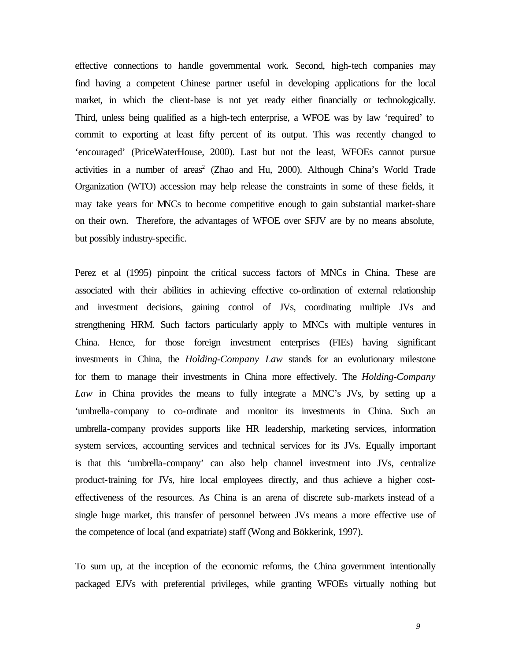effective connections to handle governmental work. Second, high-tech companies may find having a competent Chinese partner useful in developing applications for the local market, in which the client-base is not yet ready either financially or technologically. Third, unless being qualified as a high-tech enterprise, a WFOE was by law 'required' to commit to exporting at least fifty percent of its output. This was recently changed to 'encouraged' (PriceWaterHouse, 2000). Last but not the least, WFOEs cannot pursue activities in a number of areas<sup>2</sup> (Zhao and Hu, 2000). Although China's World Trade Organization (WTO) accession may help release the constraints in some of these fields, it may take years for MNCs to become competitive enough to gain substantial market-share on their own. Therefore, the advantages of WFOE over SFJV are by no means absolute, but possibly industry-specific.

Perez et al (1995) pinpoint the critical success factors of MNCs in China. These are associated with their abilities in achieving effective co-ordination of external relationship and investment decisions, gaining control of JVs, coordinating multiple JVs and strengthening HRM. Such factors particularly apply to MNCs with multiple ventures in China. Hence, for those foreign investment enterprises (FIEs) having significant investments in China, the *Holding-Company Law* stands for an evolutionary milestone for them to manage their investments in China more effectively. The *Holding-Company Law* in China provides the means to fully integrate a MNC's JVs, by setting up a 'umbrella-company to co-ordinate and monitor its investments in China. Such an umbrella-company provides supports like HR leadership, marketing services, information system services, accounting services and technical services for its JVs. Equally important is that this 'umbrella-company' can also help channel investment into JVs, centralize product-training for JVs, hire local employees directly, and thus achieve a higher costeffectiveness of the resources. As China is an arena of discrete sub-markets instead of a single huge market, this transfer of personnel between JVs means a more effective use of the competence of local (and expatriate) staff (Wong and Bökkerink, 1997).

To sum up, at the inception of the economic reforms, the China government intentionally packaged EJVs with preferential privileges, while granting WFOEs virtually nothing but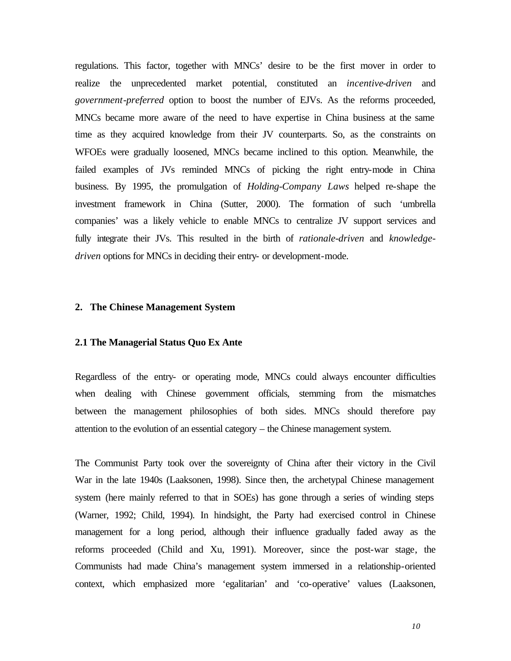regulations. This factor, together with MNCs' desire to be the first mover in order to realize the unprecedented market potential, constituted an *incentive-driven* and *government-preferred* option to boost the number of EJVs. As the reforms proceeded, MNCs became more aware of the need to have expertise in China business at the same time as they acquired knowledge from their JV counterparts. So, as the constraints on WFOEs were gradually loosened, MNCs became inclined to this option. Meanwhile, the failed examples of JVs reminded MNCs of picking the right entry-mode in China business. By 1995, the promulgation of *Holding-Company Laws* helped re-shape the investment framework in China (Sutter, 2000). The formation of such 'umbrella companies' was a likely vehicle to enable MNCs to centralize JV support services and fully integrate their JVs. This resulted in the birth of *rationale-driven* and *knowledgedriven* options for MNCs in deciding their entry- or development-mode.

#### **2. The Chinese Management System**

#### **2.1 The Managerial Status Quo Ex Ante**

Regardless of the entry- or operating mode, MNCs could always encounter difficulties when dealing with Chinese government officials, stemming from the mismatches between the management philosophies of both sides. MNCs should therefore pay attention to the evolution of an essential category – the Chinese management system.

The Communist Party took over the sovereignty of China after their victory in the Civil War in the late 1940s (Laaksonen, 1998). Since then, the archetypal Chinese management system (here mainly referred to that in SOEs) has gone through a series of winding steps (Warner, 1992; Child, 1994). In hindsight, the Party had exercised control in Chinese management for a long period, although their influence gradually faded away as the reforms proceeded (Child and Xu, 1991). Moreover, since the post-war stage, the Communists had made China's management system immersed in a relationship-oriented context, which emphasized more 'egalitarian' and 'co-operative' values (Laaksonen,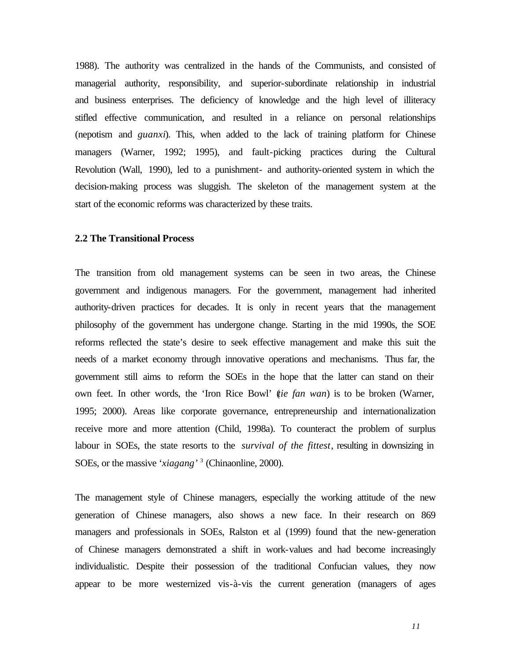1988). The authority was centralized in the hands of the Communists, and consisted of managerial authority, responsibility, and superior-subordinate relationship in industrial and business enterprises. The deficiency of knowledge and the high level of illiteracy stifled effective communication, and resulted in a reliance on personal relationships (nepotism and *guanxi*). This, when added to the lack of training platform for Chinese managers (Warner, 1992; 1995), and fault-picking practices during the Cultural Revolution (Wall, 1990), led to a punishment- and authority-oriented system in which the decision-making process was sluggish. The skeleton of the management system at the start of the economic reforms was characterized by these traits.

#### **2.2 The Transitional Process**

The transition from old management systems can be seen in two areas, the Chinese government and indigenous managers. For the government, management had inherited authority-driven practices for decades. It is only in recent years that the management philosophy of the government has undergone change. Starting in the mid 1990s, the SOE reforms reflected the state's desire to seek effective management and make this suit the needs of a market economy through innovative operations and mechanisms. Thus far, the government still aims to reform the SOEs in the hope that the latter can stand on their own feet. In other words, the 'Iron Rice Bowl' (*tie fan wan*) is to be broken (Warner, 1995; 2000). Areas like corporate governance, entrepreneurship and internationalization receive more and more attention (Child, 1998a). To counteract the problem of surplus labour in SOEs, the state resorts to the *survival of the fittest*, resulting in downsizing in SOEs, or the massive '*xiagang'* <sup>3</sup> (Chinaonline, 2000).

The management style of Chinese managers, especially the working attitude of the new generation of Chinese managers, also shows a new face. In their research on 869 managers and professionals in SOEs, Ralston et al (1999) found that the new-generation of Chinese managers demonstrated a shift in work-values and had become increasingly individualistic. Despite their possession of the traditional Confucian values, they now appear to be more westernized vis-à-vis the current generation (managers of ages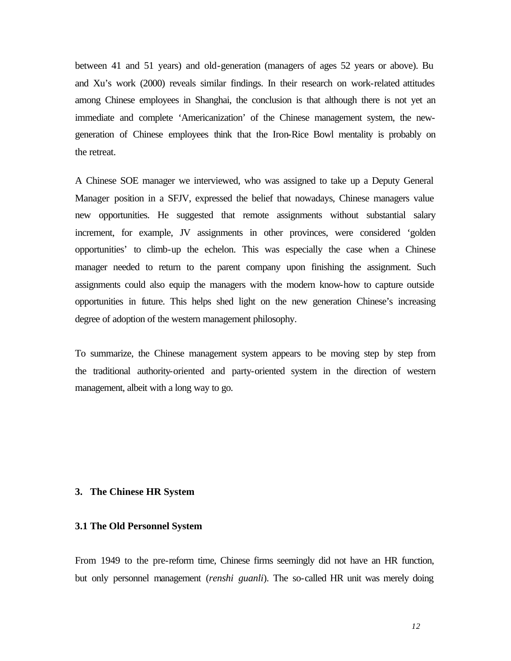between 41 and 51 years) and old-generation (managers of ages 52 years or above). Bu and Xu's work (2000) reveals similar findings. In their research on work-related attitudes among Chinese employees in Shanghai, the conclusion is that although there is not yet an immediate and complete 'Americanization' of the Chinese management system, the newgeneration of Chinese employees think that the Iron-Rice Bowl mentality is probably on the retreat.

A Chinese SOE manager we interviewed, who was assigned to take up a Deputy General Manager position in a SFJV, expressed the belief that nowadays, Chinese managers value new opportunities. He suggested that remote assignments without substantial salary increment, for example, JV assignments in other provinces, were considered 'golden opportunities' to climb-up the echelon. This was especially the case when a Chinese manager needed to return to the parent company upon finishing the assignment. Such assignments could also equip the managers with the modern know-how to capture outside opportunities in future. This helps shed light on the new generation Chinese's increasing degree of adoption of the western management philosophy.

To summarize, the Chinese management system appears to be moving step by step from the traditional authority-oriented and party-oriented system in the direction of western management, albeit with a long way to go.

#### **3. The Chinese HR System**

#### **3.1 The Old Personnel System**

From 1949 to the pre-reform time, Chinese firms seemingly did not have an HR function, but only personnel management (*renshi guanli*). The so-called HR unit was merely doing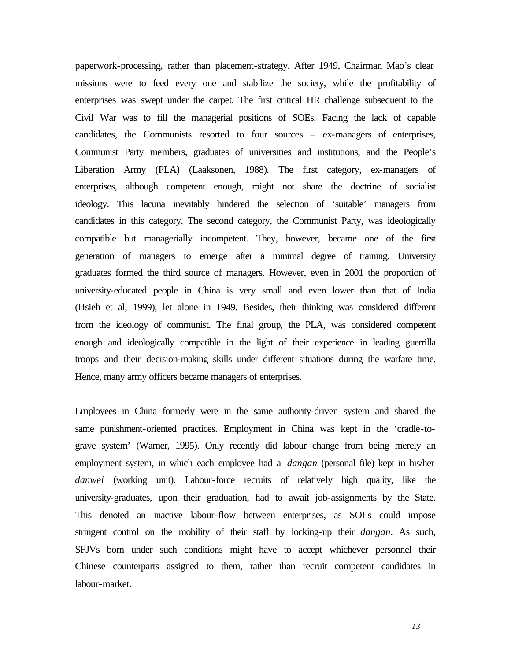paperwork-processing, rather than placement-strategy. After 1949, Chairman Mao's clear missions were to feed every one and stabilize the society, while the profitability of enterprises was swept under the carpet. The first critical HR challenge subsequent to the Civil War was to fill the managerial positions of SOEs. Facing the lack of capable candidates, the Communists resorted to four sources – ex-managers of enterprises, Communist Party members, graduates of universities and institutions, and the People's Liberation Army (PLA) (Laaksonen, 1988). The first category, ex-managers of enterprises, although competent enough, might not share the doctrine of socialist ideology. This lacuna inevitably hindered the selection of 'suitable' managers from candidates in this category. The second category, the Communist Party, was ideologically compatible but managerially incompetent. They, however, became one of the first generation of managers to emerge after a minimal degree of training. University graduates formed the third source of managers. However, even in 2001 the proportion of university-educated people in China is very small and even lower than that of India (Hsieh et al, 1999), let alone in 1949. Besides, their thinking was considered different from the ideology of communist. The final group, the PLA, was considered competent enough and ideologically compatible in the light of their experience in leading guerrilla troops and their decision-making skills under different situations during the warfare time. Hence, many army officers became managers of enterprises.

Employees in China formerly were in the same authority-driven system and shared the same punishment-oriented practices. Employment in China was kept in the 'cradle-tograve system' (Warner, 1995). Only recently did labour change from being merely an employment system, in which each employee had a *dangan* (personal file) kept in his/her *danwei* (working unit). Labour-force recruits of relatively high quality, like the university-graduates, upon their graduation, had to await job-assignments by the State. This denoted an inactive labour-flow between enterprises, as SOEs could impose stringent control on the mobility of their staff by locking-up their *dangan*. As such, SFJVs born under such conditions might have to accept whichever personnel their Chinese counterparts assigned to them, rather than recruit competent candidates in labour-market.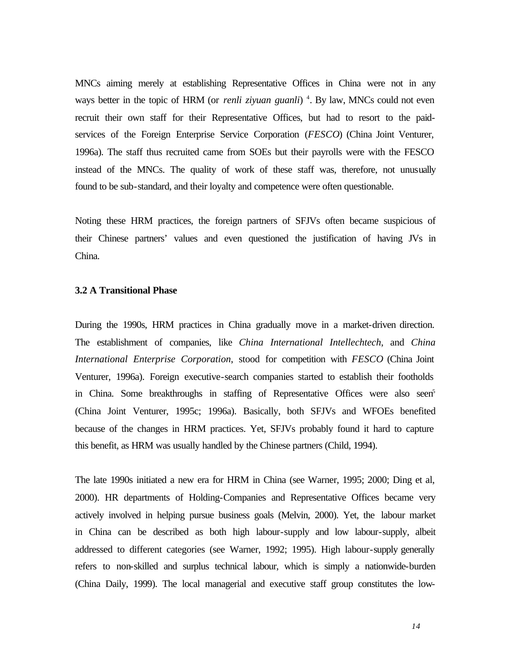MNCs aiming merely at establishing Representative Offices in China were not in any ways better in the topic of HRM (or *renli ziyuan guanli*)<sup>4</sup>. By law, MNCs could not even recruit their own staff for their Representative Offices, but had to resort to the paidservices of the Foreign Enterprise Service Corporation (*FESCO*) (China Joint Venturer, 1996a). The staff thus recruited came from SOEs but their payrolls were with the FESCO instead of the MNCs. The quality of work of these staff was, therefore, not unusually found to be sub-standard, and their loyalty and competence were often questionable.

Noting these HRM practices, the foreign partners of SFJVs often became suspicious of their Chinese partners' values and even questioned the justification of having JVs in China.

#### **3.2 A Transitional Phase**

During the 1990s, HRM practices in China gradually move in a market-driven direction. The establishment of companies, like *China International Intellechtech*, and *China International Enterprise Corporation*, stood for competition with *FESCO* (China Joint Venturer, 1996a). Foreign executive-search companies started to establish their footholds in China. Some breakthroughs in staffing of Representative Offices were also seen<sup>5</sup> (China Joint Venturer, 1995c; 1996a). Basically, both SFJVs and WFOEs benefited because of the changes in HRM practices. Yet, SFJVs probably found it hard to capture this benefit, as HRM was usually handled by the Chinese partners (Child, 1994).

The late 1990s initiated a new era for HRM in China (see Warner, 1995; 2000; Ding et al, 2000). HR departments of Holding-Companies and Representative Offices became very actively involved in helping pursue business goals (Melvin, 2000). Yet, the labour market in China can be described as both high labour-supply and low labour-supply, albeit addressed to different categories (see Warner, 1992; 1995). High labour-supply generally refers to non-skilled and surplus technical labour, which is simply a nationwide-burden (China Daily, 1999). The local managerial and executive staff group constitutes the low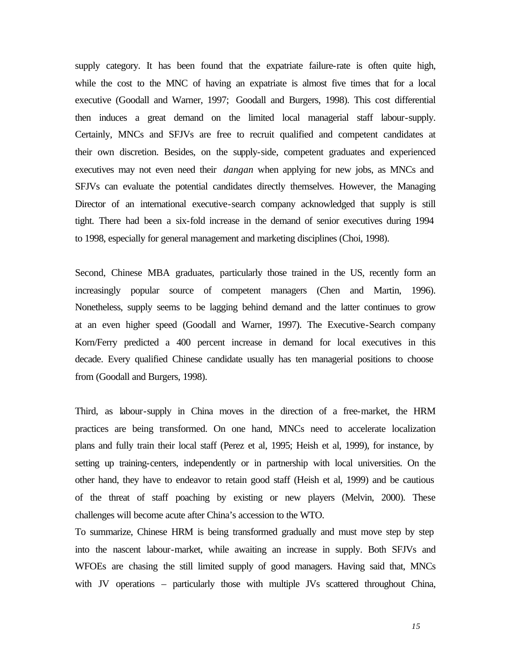supply category. It has been found that the expatriate failure-rate is often quite high, while the cost to the MNC of having an expatriate is almost five times that for a local executive (Goodall and Warner, 1997; Goodall and Burgers, 1998). This cost differential then induces a great demand on the limited local managerial staff labour-supply. Certainly, MNCs and SFJVs are free to recruit qualified and competent candidates at their own discretion. Besides, on the supply-side, competent graduates and experienced executives may not even need their *dangan* when applying for new jobs, as MNCs and SFJVs can evaluate the potential candidates directly themselves. However, the Managing Director of an international executive-search company acknowledged that supply is still tight. There had been a six-fold increase in the demand of senior executives during 1994 to 1998, especially for general management and marketing disciplines (Choi, 1998).

Second, Chinese MBA graduates, particularly those trained in the US, recently form an increasingly popular source of competent managers (Chen and Martin, 1996). Nonetheless, supply seems to be lagging behind demand and the latter continues to grow at an even higher speed (Goodall and Warner, 1997). The Executive-Search company Korn/Ferry predicted a 400 percent increase in demand for local executives in this decade. Every qualified Chinese candidate usually has ten managerial positions to choose from (Goodall and Burgers, 1998).

Third, as labour-supply in China moves in the direction of a free-market, the HRM practices are being transformed. On one hand, MNCs need to accelerate localization plans and fully train their local staff (Perez et al, 1995; Heish et al, 1999), for instance, by setting up training-centers, independently or in partnership with local universities. On the other hand, they have to endeavor to retain good staff (Heish et al, 1999) and be cautious of the threat of staff poaching by existing or new players (Melvin, 2000). These challenges will become acute after China's accession to the WTO.

To summarize, Chinese HRM is being transformed gradually and must move step by step into the nascent labour-market, while awaiting an increase in supply. Both SFJVs and WFOEs are chasing the still limited supply of good managers. Having said that, MNCs with JV operations – particularly those with multiple JVs scattered throughout China,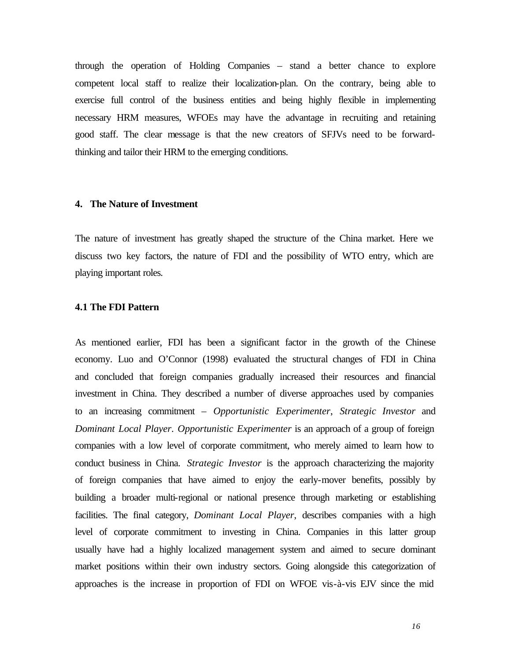through the operation of Holding Companies – stand a better chance to explore competent local staff to realize their localization-plan. On the contrary, being able to exercise full control of the business entities and being highly flexible in implementing necessary HRM measures, WFOEs may have the advantage in recruiting and retaining good staff. The clear message is that the new creators of SFJVs need to be forwardthinking and tailor their HRM to the emerging conditions.

#### **4. The Nature of Investment**

The nature of investment has greatly shaped the structure of the China market. Here we discuss two key factors, the nature of FDI and the possibility of WTO entry, which are playing important roles.

#### **4.1 The FDI Pattern**

As mentioned earlier, FDI has been a significant factor in the growth of the Chinese economy. Luo and O'Connor (1998) evaluated the structural changes of FDI in China and concluded that foreign companies gradually increased their resources and financial investment in China. They described a number of diverse approaches used by companies to an increasing commitment – *Opportunistic Experimenter*, *Strategic Investor* and *Dominant Local Player*. *Opportunistic Experimenter* is an approach of a group of foreign companies with a low level of corporate commitment, who merely aimed to learn how to conduct business in China. *Strategic Investor* is the approach characterizing the majority of foreign companies that have aimed to enjoy the early-mover benefits, possibly by building a broader multi-regional or national presence through marketing or establishing facilities. The final category, *Dominant Local Player*, describes companies with a high level of corporate commitment to investing in China. Companies in this latter group usually have had a highly localized management system and aimed to secure dominant market positions within their own industry sectors. Going alongside this categorization of approaches is the increase in proportion of FDI on WFOE vis-à-vis EJV since the mid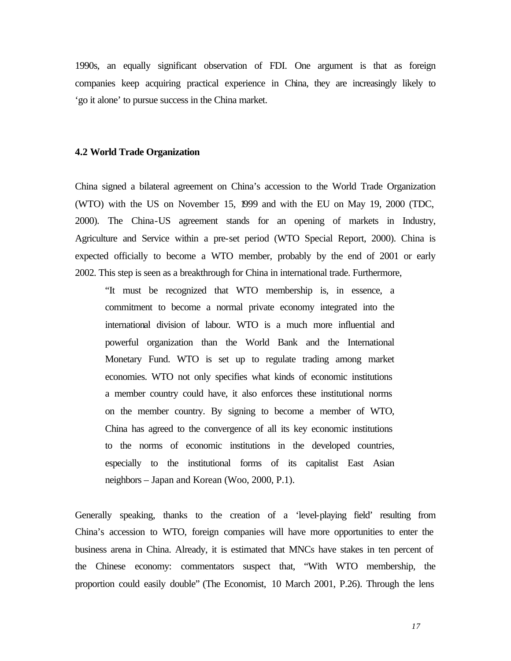1990s, an equally significant observation of FDI. One argument is that as foreign companies keep acquiring practical experience in China, they are increasingly likely to 'go it alone' to pursue success in the China market.

#### **4.2 World Trade Organization**

China signed a bilateral agreement on China's accession to the World Trade Organization (WTO) with the US on November 15, 1999 and with the EU on May 19, 2000 (TDC, 2000). The China-US agreement stands for an opening of markets in Industry, Agriculture and Service within a pre-set period (WTO Special Report, 2000). China is expected officially to become a WTO member, probably by the end of 2001 or early 2002. This step is seen as a breakthrough for China in international trade. Furthermore,

"It must be recognized that WTO membership is, in essence, a commitment to become a normal private economy integrated into the international division of labour. WTO is a much more influential and powerful organization than the World Bank and the International Monetary Fund. WTO is set up to regulate trading among market economies. WTO not only specifies what kinds of economic institutions a member country could have, it also enforces these institutional norms on the member country. By signing to become a member of WTO, China has agreed to the convergence of all its key economic institutions to the norms of economic institutions in the developed countries, especially to the institutional forms of its capitalist East Asian neighbors – Japan and Korean (Woo, 2000, P.1).

Generally speaking, thanks to the creation of a 'level-playing field' resulting from China's accession to WTO, foreign companies will have more opportunities to enter the business arena in China. Already, it is estimated that MNCs have stakes in ten percent of the Chinese economy: commentators suspect that, "With WTO membership, the proportion could easily double" (The Economist, 10 March 2001, P.26). Through the lens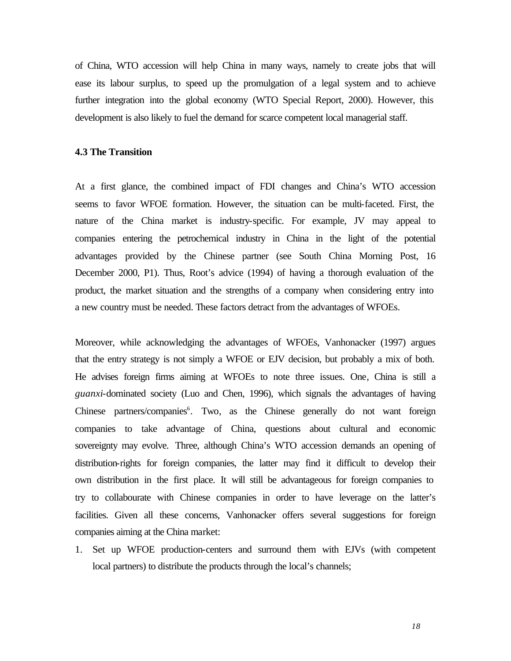of China, WTO accession will help China in many ways, namely to create jobs that will ease its labour surplus, to speed up the promulgation of a legal system and to achieve further integration into the global economy (WTO Special Report, 2000). However, this development is also likely to fuel the demand for scarce competent local managerial staff.

#### **4.3 The Transition**

At a first glance, the combined impact of FDI changes and China's WTO accession seems to favor WFOE formation. However, the situation can be multi-faceted. First, the nature of the China market is industry-specific. For example, JV may appeal to companies entering the petrochemical industry in China in the light of the potential advantages provided by the Chinese partner (see South China Morning Post, 16 December 2000, P1). Thus, Root's advice (1994) of having a thorough evaluation of the product, the market situation and the strengths of a company when considering entry into a new country must be needed. These factors detract from the advantages of WFOEs.

Moreover, while acknowledging the advantages of WFOEs, Vanhonacker (1997) argues that the entry strategy is not simply a WFOE or EJV decision, but probably a mix of both. He advises foreign firms aiming at WFOEs to note three issues. One, China is still a *guanxi*-dominated society (Luo and Chen, 1996), which signals the advantages of having Chinese partners/companies<sup>6</sup>. Two, as the Chinese generally do not want foreign companies to take advantage of China, questions about cultural and economic sovereignty may evolve. Three, although China's WTO accession demands an opening of distribution-rights for foreign companies, the latter may find it difficult to develop their own distribution in the first place. It will still be advantageous for foreign companies to try to collabourate with Chinese companies in order to have leverage on the latter's facilities. Given all these concerns, Vanhonacker offers several suggestions for foreign companies aiming at the China market:

1. Set up WFOE production-centers and surround them with EJVs (with competent local partners) to distribute the products through the local's channels;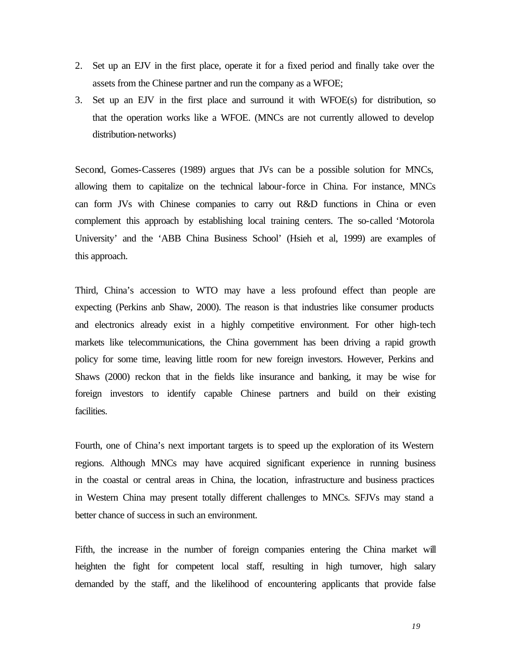- 2. Set up an EJV in the first place, operate it for a fixed period and finally take over the assets from the Chinese partner and run the company as a WFOE;
- 3. Set up an EJV in the first place and surround it with WFOE(s) for distribution, so that the operation works like a WFOE. (MNCs are not currently allowed to develop distribution-networks)

Second, Gomes-Casseres (1989) argues that JVs can be a possible solution for MNCs, allowing them to capitalize on the technical labour-force in China. For instance, MNCs can form JVs with Chinese companies to carry out R&D functions in China or even complement this approach by establishing local training centers. The so-called 'Motorola University' and the 'ABB China Business School' (Hsieh et al, 1999) are examples of this approach.

Third, China's accession to WTO may have a less profound effect than people are expecting (Perkins anb Shaw, 2000). The reason is that industries like consumer products and electronics already exist in a highly competitive environment. For other high-tech markets like telecommunications, the China government has been driving a rapid growth policy for some time, leaving little room for new foreign investors. However, Perkins and Shaws (2000) reckon that in the fields like insurance and banking, it may be wise for foreign investors to identify capable Chinese partners and build on their existing facilities.

Fourth, one of China's next important targets is to speed up the exploration of its Western regions. Although MNCs may have acquired significant experience in running business in the coastal or central areas in China, the location, infrastructure and business practices in Western China may present totally different challenges to MNCs. SFJVs may stand a better chance of success in such an environment.

Fifth, the increase in the number of foreign companies entering the China market will heighten the fight for competent local staff, resulting in high turnover, high salary demanded by the staff, and the likelihood of encountering applicants that provide false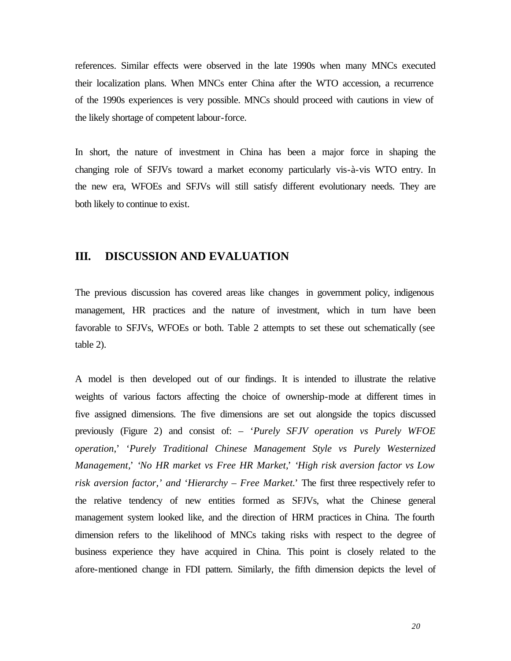references. Similar effects were observed in the late 1990s when many MNCs executed their localization plans. When MNCs enter China after the WTO accession, a recurrence of the 1990s experiences is very possible. MNCs should proceed with cautions in view of the likely shortage of competent labour-force.

In short, the nature of investment in China has been a major force in shaping the changing role of SFJVs toward a market economy particularly vis-à-vis WTO entry. In the new era, WFOEs and SFJVs will still satisfy different evolutionary needs. They are both likely to continue to exist.

#### **III. DISCUSSION AND EVALUATION**

The previous discussion has covered areas like changes in government policy, indigenous management, HR practices and the nature of investment, which in turn have been favorable to SFJVs, WFOEs or both. Table 2 attempts to set these out schematically (see table 2).

A model is then developed out of our findings. It is intended to illustrate the relative weights of various factors affecting the choice of ownership-mode at different times in five assigned dimensions. The five dimensions are set out alongside the topics discussed previously (Figure 2) and consist of: – '*Purely SFJV operation vs Purely WFOE operation*,' '*Purely Traditional Chinese Management Style vs Purely Westernized Management,*' '*No HR market vs Free HR Market,*' '*High risk aversion factor vs Low risk aversion factor,' and* '*Hierarchy – Free Market.*' The first three respectively refer to the relative tendency of new entities formed as SFJVs, what the Chinese general management system looked like, and the direction of HRM practices in China. The fourth dimension refers to the likelihood of MNCs taking risks with respect to the degree of business experience they have acquired in China. This point is closely related to the afore-mentioned change in FDI pattern. Similarly, the fifth dimension depicts the level of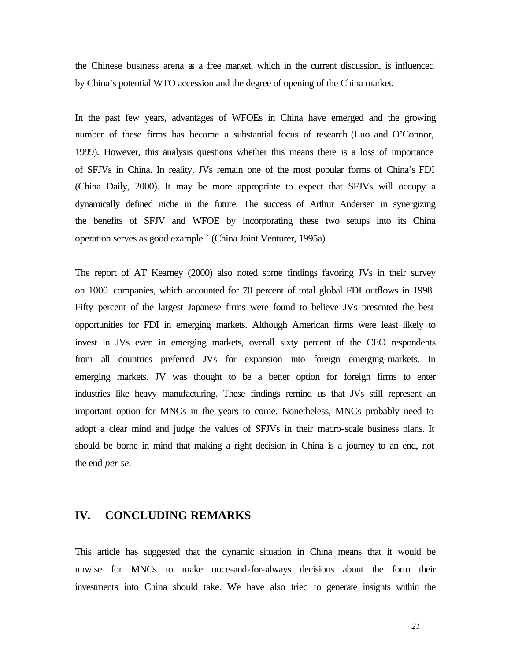the Chinese business arena as a free market, which in the current discussion, is influenced by China's potential WTO accession and the degree of opening of the China market.

In the past few years, advantages of WFOEs in China have emerged and the growing number of these firms has become a substantial focus of research (Luo and O'Connor, 1999). However, this analysis questions whether this means there is a loss of importance of SFJVs in China. In reality, JVs remain one of the most popular forms of China's FDI (China Daily, 2000). It may be more appropriate to expect that SFJVs will occupy a dynamically defined niche in the future. The success of Arthur Andersen in synergizing the benefits of SFJV and WFOE by incorporating these two setups into its China operation serves as good example<sup>7</sup> (China Joint Venturer, 1995a).

The report of AT Kearney (2000) also noted some findings favoring JVs in their survey on 1000 companies, which accounted for 70 percent of total global FDI outflows in 1998. Fifty percent of the largest Japanese firms were found to believe JVs presented the best opportunities for FDI in emerging markets. Although American firms were least likely to invest in JVs even in emerging markets, overall sixty percent of the CEO respondents from all countries preferred JVs for expansion into foreign emerging-markets. In emerging markets, JV was thought to be a better option for foreign firms to enter industries like heavy manufacturing. These findings remind us that JVs still represent an important option for MNCs in the years to come. Nonetheless, MNCs probably need to adopt a clear mind and judge the values of SFJVs in their macro-scale business plans. It should be borne in mind that making a right decision in China is a journey to an end, not the end *per se*.

### **IV. CONCLUDING REMARKS**

This article has suggested that the dynamic situation in China means that it would be unwise for MNCs to make once-and-for-always decisions about the form their investments into China should take. We have also tried to generate insights within the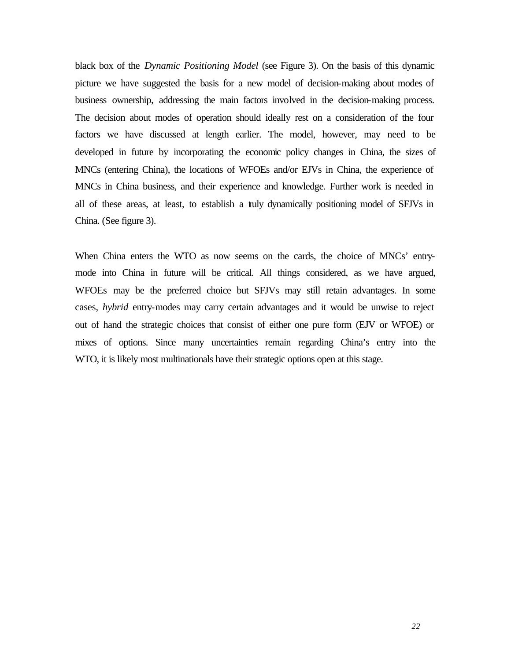black box of the *Dynamic Positioning Model* (see Figure 3). On the basis of this dynamic picture we have suggested the basis for a new model of decision-making about modes of business ownership, addressing the main factors involved in the decision-making process. The decision about modes of operation should ideally rest on a consideration of the four factors we have discussed at length earlier. The model, however, may need to be developed in future by incorporating the economic policy changes in China, the sizes of MNCs (entering China), the locations of WFOEs and/or EJVs in China, the experience of MNCs in China business, and their experience and knowledge. Further work is needed in all of these areas, at least, to establish a truly dynamically positioning model of SFJVs in China. (See figure 3).

When China enters the WTO as now seems on the cards, the choice of MNCs' entrymode into China in future will be critical. All things considered, as we have argued, WFOEs may be the preferred choice but SFJVs may still retain advantages. In some cases, *hybrid* entry-modes may carry certain advantages and it would be unwise to reject out of hand the strategic choices that consist of either one pure form (EJV or WFOE) or mixes of options. Since many uncertainties remain regarding China's entry into the WTO, it is likely most multinationals have their strategic options open at this stage.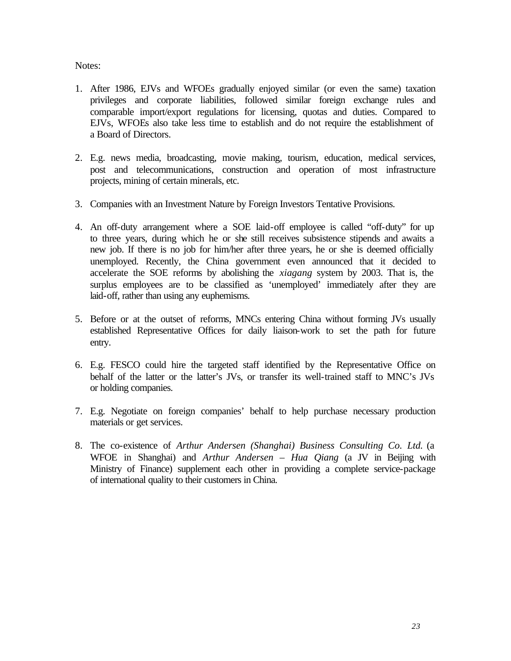Notes:

- 1. After 1986, EJVs and WFOEs gradually enjoyed similar (or even the same) taxation privileges and corporate liabilities, followed similar foreign exchange rules and comparable import/export regulations for licensing, quotas and duties. Compared to EJVs, WFOEs also take less time to establish and do not require the establishment of a Board of Directors.
- 2. E.g. news media, broadcasting, movie making, tourism, education, medical services, post and telecommunications, construction and operation of most infrastructure projects, mining of certain minerals, etc.
- 3. Companies with an Investment Nature by Foreign Investors Tentative Provisions.
- 4. An off-duty arrangement where a SOE laid-off employee is called "off-duty" for up to three years, during which he or she still receives subsistence stipends and awaits a new job. If there is no job for him/her after three years, he or she is deemed officially unemployed. Recently, the China government even announced that it decided to accelerate the SOE reforms by abolishing the *xiagang* system by 2003. That is, the surplus employees are to be classified as 'unemployed' immediately after they are laid-off, rather than using any euphemisms.
- 5. Before or at the outset of reforms, MNCs entering China without forming JVs usually established Representative Offices for daily liaison-work to set the path for future entry.
- 6. E.g. FESCO could hire the targeted staff identified by the Representative Office on behalf of the latter or the latter's JVs, or transfer its well-trained staff to MNC's JVs or holding companies.
- 7. E.g. Negotiate on foreign companies' behalf to help purchase necessary production materials or get services.
- 8. The co-existence of *Arthur Andersen (Shanghai) Business Consulting Co. Ltd.* (a WFOE in Shanghai) and *Arthur Andersen – Hua Qiang* (a JV in Beijing with Ministry of Finance) supplement each other in providing a complete service-package of international quality to their customers in China.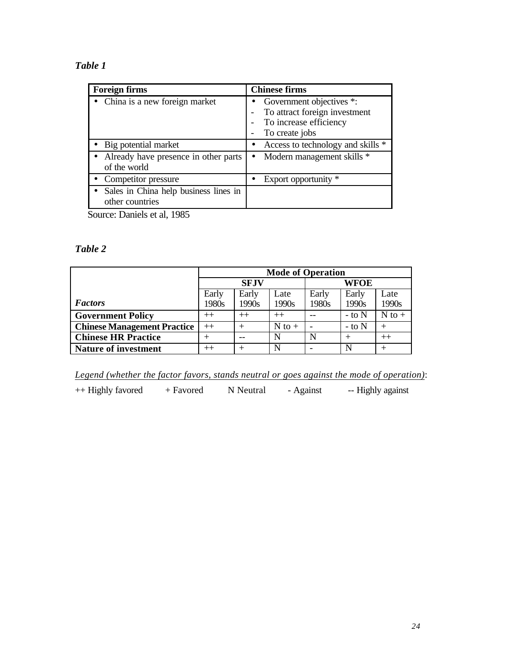### *Table 1*

| <b>Foreign firms</b>                                 | <b>Chinese firms</b>              |  |  |  |
|------------------------------------------------------|-----------------------------------|--|--|--|
| • China is a new foreign market                      | Government objectives *:          |  |  |  |
|                                                      | To attract foreign investment     |  |  |  |
|                                                      | To increase efficiency            |  |  |  |
|                                                      | To create jobs                    |  |  |  |
| • Big potential market                               | Access to technology and skills * |  |  |  |
| Already have presence in other parts<br>of the world | Modern management skills *        |  |  |  |
| • Competitor pressure                                | Export opportunity *              |  |  |  |
| Sales in China help business lines in                |                                   |  |  |  |
| other countries                                      |                                   |  |  |  |
| $\sim$<br>$T$ $1$ $1$ $100$                          |                                   |  |  |  |

Source: Daniels et al, 1985

#### *Table 2*

|                                    | <b>Mode of Operation</b> |       |            |       |            |            |  |
|------------------------------------|--------------------------|-------|------------|-------|------------|------------|--|
|                                    | <b>SFJV</b>              |       |            | WFOE  |            |            |  |
|                                    | Early                    | Early | Late       | Early | Early      | Late       |  |
| <b>Factors</b>                     | 1980s                    | 1990s | 1990s      | 1980s | 1990s      | 1990s      |  |
| <b>Government Policy</b>           | $^{++}$                  | $++$  | $^{++}$    |       | $-$ to $N$ | $N$ to $+$ |  |
| <b>Chinese Management Practice</b> | $++$                     |       | $N$ to $+$ |       | $-$ to $N$ | $^{+}$     |  |
| <b>Chinese HR Practice</b>         |                          |       | N          | N     | $^{+}$     | $++$       |  |
| <b>Nature of investment</b>        | $^{++}$                  |       | N          |       | N          | $^{+}$     |  |

*Legend (whether the factor favors, stands neutral or goes against the mode of operation)*:

++ Highly favored + Favored N Neutral - Against -- Highly against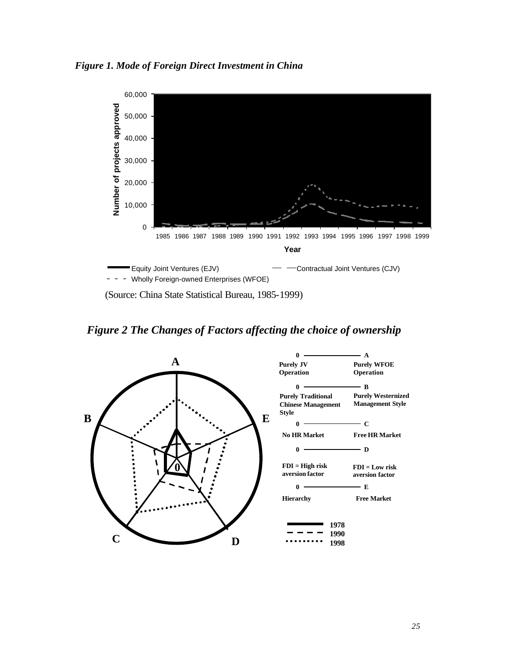*Figure 1. Mode of Foreign Direct Investment in China*



(Source: China State Statistical Bureau, 1985-1999)

*Figure 2 The Changes of Factors affecting the choice of ownership*

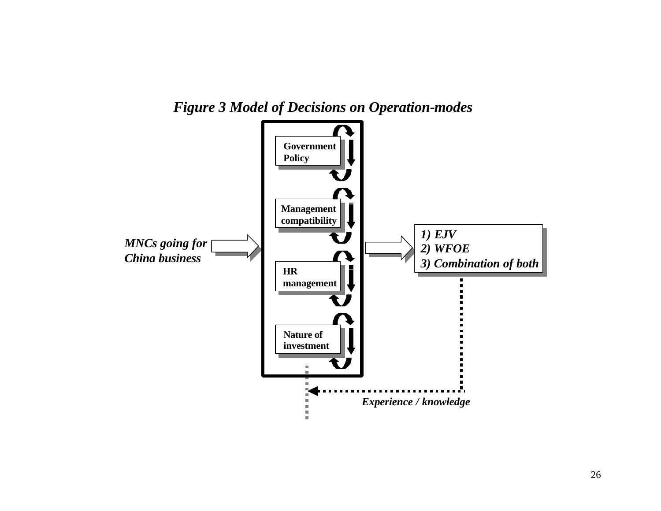

*Figure 3 Model of Decisions on Operation-modes*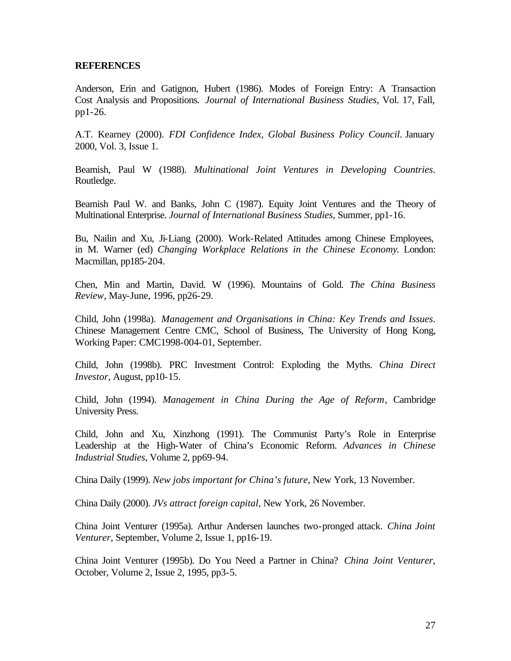#### **REFERENCES**

Anderson, Erin and Gatignon, Hubert (1986). Modes of Foreign Entry: A Transaction Cost Analysis and Propositions. *Journal of International Business Studies*, Vol. 17, Fall, pp1-26.

A.T. Kearney (2000). *FDI Confidence Index, Global Business Policy Council*. January 2000, Vol. 3, Issue 1.

Beamish, Paul W (1988). *Multinational Joint Ventures in Developing Countries*. Routledge.

Beamish Paul W. and Banks, John C (1987). Equity Joint Ventures and the Theory of Multinational Enterprise. *Journal of International Business Studies*, Summer, pp1-16.

Bu, Nailin and Xu, Ji-Liang (2000). Work-Related Attitudes among Chinese Employees, in M. Warner (ed) *Changing Workplace Relations in the Chinese Economy*. London: Macmillan, pp185-204.

Chen, Min and Martin, David. W (1996). Mountains of Gold. *The China Business Review*, May-June, 1996, pp26-29.

Child, John (1998a). *Management and Organisations in China: Key Trends and Issues*. Chinese Management Centre CMC, School of Business, The University of Hong Kong, Working Paper: CMC1998-004-01, September.

Child, John (1998b). PRC Investment Control: Exploding the Myths. *China Direct Investor*, August, pp10-15.

Child, John (1994). *Management in China During the Age of Reform*, Cambridge University Press.

Child, John and Xu, Xinzhong (1991). The Communist Party's Role in Enterprise Leadership at the High-Water of China's Economic Reform. *Advances in Chinese Industrial Studies*, Volume 2, pp69-94.

China Daily (1999). *New jobs important for China's future*, New York, 13 November.

China Daily (2000). *JVs attract foreign capital*, New York, 26 November.

China Joint Venturer (1995a). Arthur Andersen launches two-pronged attack. *China Joint Venturer*, September, Volume 2, Issue 1, pp16-19.

China Joint Venturer (1995b). Do You Need a Partner in China? *China Joint Venturer*, October, Volume 2, Issue 2, 1995, pp3-5.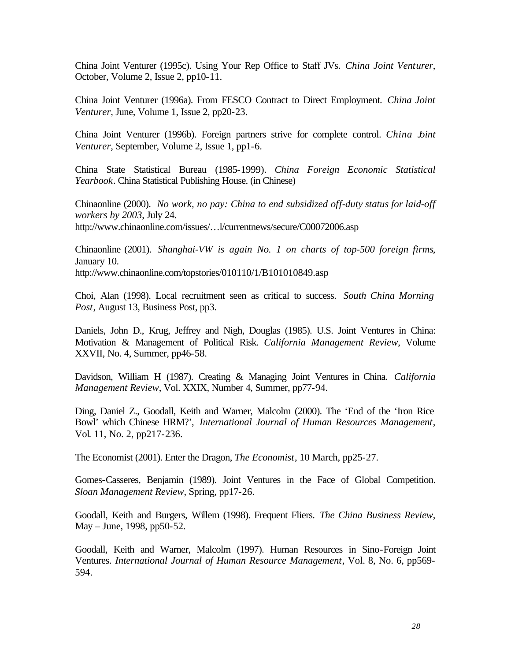China Joint Venturer (1995c). Using Your Rep Office to Staff JVs. *China Joint Venturer*, October, Volume 2, Issue 2, pp10-11.

China Joint Venturer (1996a). From FESCO Contract to Direct Employment. *China Joint Venturer*, June, Volume 1, Issue 2, pp20-23.

China Joint Venturer (1996b). Foreign partners strive for complete control. *China Joint Venturer*, September, Volume 2, Issue 1, pp1-6.

China State Statistical Bureau (1985-1999). *China Foreign Economic Statistical Yearbook*. China Statistical Publishing House. (in Chinese)

Chinaonline (2000). *No work, no pay: China to end subsidized off-duty status for laid-off workers by 2003*, July 24. http://www.chinaonline.com/issues/…l/currentnews/secure/C00072006.asp

Chinaonline (2001). *Shanghai-VW is again No. 1 on charts of top-500 foreign firms*, January 10. http://www.chinaonline.com/topstories/010110/1/B101010849.asp

Choi, Alan (1998). Local recruitment seen as critical to success. *South China Morning Post*, August 13, Business Post, pp3.

Daniels, John D., Krug, Jeffrey and Nigh, Douglas (1985). U.S. Joint Ventures in China: Motivation & Management of Political Risk. *California Management Review*, Volume XXVII, No. 4, Summer, pp46-58.

Davidson, William H (1987). Creating & Managing Joint Ventures in China. *California Management Review*, Vol. XXIX, Number 4, Summer, pp77-94.

Ding, Daniel Z., Goodall, Keith and Warner, Malcolm (2000). The 'End of the 'Iron Rice Bowl' which Chinese HRM?', *International Journal of Human Resources Management*, Vol. 11, No. 2, pp217-236.

The Economist (2001). Enter the Dragon, *The Economist*, 10 March, pp25-27.

Gomes-Casseres, Benjamin (1989). Joint Ventures in the Face of Global Competition. *Sloan Management Review*, Spring, pp17-26.

Goodall, Keith and Burgers, Willem (1998). Frequent Fliers. *The China Business Review*, May – June, 1998, pp50-52.

Goodall, Keith and Warner, Malcolm (1997). Human Resources in Sino-Foreign Joint Ventures. *International Journal of Human Resource Management*, Vol. 8, No. 6, pp569- 594.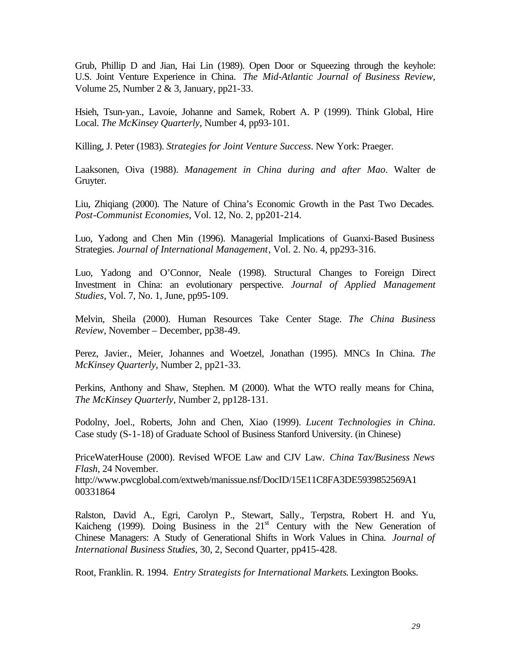Grub, Phillip D and Jian, Hai Lin (1989). Open Door or Squeezing through the keyhole: U.S. Joint Venture Experience in China. *The Mid-Atlantic Journal of Business Review*, Volume 25, Number 2 & 3, January, pp21-33.

Hsieh, Tsun-yan., Lavoie, Johanne and Samek, Robert A. P (1999). Think Global, Hire Local. *The McKinsey Quarterly*, Number 4, pp93-101.

Killing, J. Peter (1983). *Strategies for Joint Venture Success*. New York: Praeger.

Laaksonen, Oiva (1988). *Management in China during and after Mao*. Walter de Gruyter.

Liu, Zhiqiang (2000). The Nature of China's Economic Growth in the Past Two Decades. *Post-Communist Economies*, Vol. 12, No. 2, pp201-214.

Luo, Yadong and Chen Min (1996). Managerial Implications of Guanxi-Based Business Strategies. *Journal of International Management*, Vol. 2. No. 4, pp293-316.

Luo, Yadong and O'Connor, Neale (1998). Structural Changes to Foreign Direct Investment in China: an evolutionary perspective. *Journal of Applied Management Studies*, Vol. 7, No. 1, June, pp95-109.

Melvin, Sheila (2000). Human Resources Take Center Stage. *The China Business Review*, November – December, pp38-49.

Perez, Javier., Meier, Johannes and Woetzel, Jonathan (1995). MNCs In China. *The McKinsey Quarterly*, Number 2, pp21-33.

Perkins, Anthony and Shaw, Stephen. M (2000). What the WTO really means for China, *The McKinsey Quarterly,* Number 2, pp128-131.

Podolny, Joel., Roberts, John and Chen, Xiao (1999). *Lucent Technologies in China*. Case study (S-1-18) of Graduate School of Business Stanford University. (in Chinese)

PriceWaterHouse (2000). Revised WFOE Law and CJV Law. *China Tax/Business News Flash*, 24 November.

http://www.pwcglobal.com/extweb/manissue.nsf/DocID/15E11C8FA3DE5939852569A1 00331864

Ralston, David A., Egri, Carolyn P., Stewart, Sally., Terpstra, Robert H. and Yu, Kaicheng (1999). Doing Business in the  $21<sup>st</sup>$  Century with the New Generation of Chinese Managers: A Study of Generational Shifts in Work Values in China. *Journal of International Business Studies*, 30, 2, Second Quarter, pp415-428.

Root, Franklin. R. 1994. *Entry Strategists for International Markets*. Lexington Books.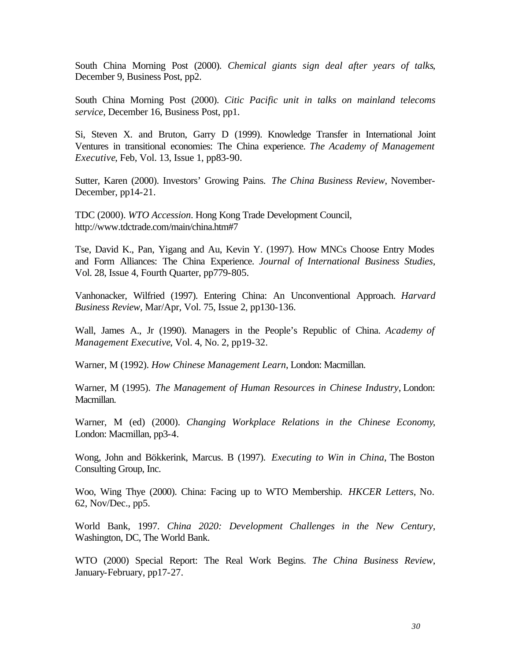South China Morning Post (2000). *Chemical giants sign deal after years of talks*, December 9, Business Post, pp2.

South China Morning Post (2000). *Citic Pacific unit in talks on mainland telecoms service*, December 16, Business Post, pp1.

Si, Steven X. and Bruton, Garry D (1999). Knowledge Transfer in International Joint Ventures in transitional economies: The China experience. *The Academy of Management Executive*, Feb, Vol. 13, Issue 1, pp83-90.

Sutter, Karen (2000). Investors' Growing Pains. *The China Business Review*, November-December, pp14-21.

TDC (2000). *WTO Accession*. Hong Kong Trade Development Council, http://www.tdctrade.com/main/china.htm#7

Tse, David K., Pan, Yigang and Au, Kevin Y. (1997). How MNCs Choose Entry Modes and Form Alliances: The China Experience. *Journal of International Business Studies*, Vol. 28, Issue 4, Fourth Quarter, pp779-805.

Vanhonacker, Wilfried (1997). Entering China: An Unconventional Approach. *Harvard Business Review*, Mar/Apr, Vol. 75, Issue 2, pp130-136.

Wall, James A., Jr (1990). Managers in the People's Republic of China. *Academy of Management Executive*, Vol. 4, No. 2, pp19-32.

Warner, M (1992). *How Chinese Management Learn*, London: Macmillan.

Warner, M (1995). *The Management of Human Resources in Chinese Industry*, London: Macmillan.

Warner, M (ed) (2000). *Changing Workplace Relations in the Chinese Economy*, London: Macmillan, pp3-4.

Wong, John and Bökkerink, Marcus. B (1997). *Executing to Win in China*, The Boston Consulting Group, Inc.

Woo, Wing Thye (2000). China: Facing up to WTO Membership. *HKCER Letters*, No. 62, Nov/Dec., pp5.

World Bank, 1997. *China 2020: Development Challenges in the New Century*, Washington, DC, The World Bank.

WTO (2000) Special Report: The Real Work Begins. *The China Business Review*, January-February, pp17-27.